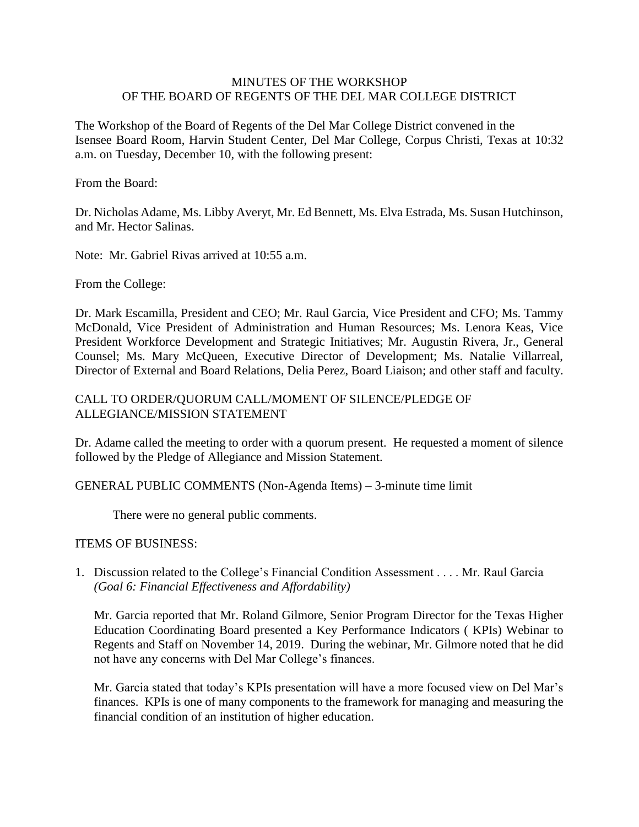## MINUTES OF THE WORKSHOP OF THE BOARD OF REGENTS OF THE DEL MAR COLLEGE DISTRICT

The Workshop of the Board of Regents of the Del Mar College District convened in the Isensee Board Room, Harvin Student Center, Del Mar College, Corpus Christi, Texas at 10:32 a.m. on Tuesday, December 10, with the following present:

From the Board:

 Dr. Nicholas Adame, Ms. Libby Averyt, Mr. Ed Bennett, Ms. Elva Estrada, Ms. Susan Hutchinson, and Mr. Hector Salinas.

Note: Mr. Gabriel Rivas arrived at 10:55 a.m.

From the College:

 Dr. Mark Escamilla, President and CEO; Mr. Raul Garcia, Vice President and CFO; Ms. Tammy McDonald, Vice President of Administration and Human Resources; Ms. Lenora Keas, Vice Counsel; Ms. Mary McQueen, Executive Director of Development; Ms. Natalie Villarreal, President Workforce Development and Strategic Initiatives; Mr. Augustin Rivera, Jr., General Director of External and Board Relations, Delia Perez, Board Liaison; and other staff and faculty.

## CALL TO ORDER/QUORUM CALL/MOMENT OF SILENCE/PLEDGE OF ALLEGIANCE/MISSION STATEMENT

Dr. Adame called the meeting to order with a quorum present. He requested a moment of silence followed by the Pledge of Allegiance and Mission Statement.

## GENERAL PUBLIC COMMENTS (Non-Agenda Items) – 3-minute time limit

There were no general public comments.

## ITEMS OF BUSINESS:

1. Discussion related to the College's Financial Condition Assessment . . . . Mr. Raul Garcia *(Goal 6: Financial Effectiveness and Affordability)* 

 Education Coordinating Board presented a Key Performance Indicators ( KPIs) Webinar to Regents and Staff on November 14, 2019. During the webinar, Mr. Gilmore noted that he did Mr. Garcia reported that Mr. Roland Gilmore, Senior Program Director for the Texas Higher not have any concerns with Del Mar College's finances.

 Mr. Garcia stated that today's KPIs presentation will have a more focused view on Del Mar's finances. KPIs is one of many components to the framework for managing and measuring the financial condition of an institution of higher education.